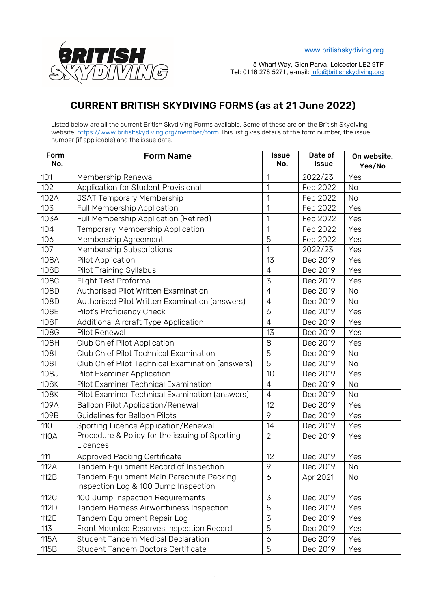

5 Wharf Way, Glen Parva, Leicester LE2 9TF Tel: 0116 278 5271, e-mail: [info@britishskydiving.org](mailto:info@britishskydiving.org) 

## CURRENT BRITISH SKYDIVING FORMS (as at 21 June 2022)

Listed below are all the current British Skydiving Forms available. Some of these are on the British Skydiving website:<https://www.britishskydiving.org/member/form> This list gives details of the form number, the issue number (if applicable) and the issue date.

| Form<br>No. | <b>Form Name</b>                                                                | <b>Issue</b><br>No. | Date of<br><b>Issue</b> | On website.<br>Yes/No |
|-------------|---------------------------------------------------------------------------------|---------------------|-------------------------|-----------------------|
| 101         | Membership Renewal                                                              |                     | 2022/23                 | Yes                   |
| 102         | Application for Student Provisional                                             | 1                   | Feb 2022                | <b>No</b>             |
| 102A        | <b>JSAT Temporary Membership</b>                                                | 1                   | Feb 2022                | <b>No</b>             |
| 103         | Full Membership Application                                                     | 1                   | Feb 2022                | Yes                   |
| 103A        | Full Membership Application (Retired)                                           | 1                   | Feb 2022                | Yes                   |
| 104         | Temporary Membership Application                                                | 1                   | Feb 2022                | Yes                   |
| 106         | Membership Agreement                                                            | 5                   | Feb 2022                | Yes                   |
| 107         | Membership Subscriptions                                                        | 1                   | 2022/23                 | Yes                   |
| 108A        | Pilot Application                                                               | 13                  | Dec 2019                | Yes                   |
| 108B        | <b>Pilot Training Syllabus</b>                                                  | $\overline{4}$      | Dec 2019                | Yes                   |
| 108C        | Flight Test Proforma                                                            | 3                   | Dec 2019                | Yes                   |
| 108D        | Authorised Pilot Written Examination                                            | $\overline{4}$      | Dec 2019                | <b>No</b>             |
| 108D        | Authorised Pilot Written Examination (answers)                                  | $\overline{4}$      | Dec 2019                | <b>No</b>             |
| 108E        | Pilot's Proficiency Check                                                       | 6                   | Dec 2019                | Yes                   |
| 108F        | Additional Aircraft Type Application                                            | $\overline{4}$      | Dec 2019                | Yes                   |
| 108G        | Pilot Renewal                                                                   | 13                  | Dec 2019                | Yes                   |
| 108H        | Club Chief Pilot Application                                                    | 8                   | Dec 2019                | Yes                   |
| 1081        | Club Chief Pilot Technical Examination                                          | 5                   | Dec 2019                | <b>No</b>             |
| 1081        | Club Chief Pilot Technical Examination (answers)                                | $\overline{5}$      | Dec 2019                | <b>No</b>             |
| 108J        | Pilot Examiner Application                                                      | 10                  | Dec 2019                | Yes                   |
| 108K        | Pilot Examiner Technical Examination                                            | $\overline{4}$      | Dec 2019                | No                    |
| 108K        | Pilot Examiner Technical Examination (answers)                                  | $\overline{4}$      | Dec 2019                | No                    |
| 109A        | <b>Balloon Pilot Application/Renewal</b>                                        | 12                  | Dec 2019                | Yes                   |
| 109B        | Guidelines for Balloon Pilots                                                   | 9                   | Dec 2019                | Yes                   |
| 110         | Sporting Licence Application/Renewal                                            | 14                  | Dec 2019                | Yes                   |
| 110A        | Procedure & Policy for the issuing of Sporting<br>Licences                      | $\overline{2}$      | Dec 2019                | Yes                   |
| 111         | <b>Approved Packing Certificate</b>                                             | 12                  | Dec 2019                | Yes                   |
| 112A        | Tandem Equipment Record of Inspection                                           | 9                   | Dec 2019                | No                    |
| 112B        | Tandem Equipment Main Parachute Packing<br>Inspection Log & 100 Jump Inspection | 6                   | Apr 2021                | No                    |
| 112C        | 100 Jump Inspection Requirements                                                | 3                   | Dec 2019                | Yes                   |
| 112D        | Tandem Harness Airworthiness Inspection                                         | 5                   | Dec 2019                | Yes                   |
| 112E        | Tandem Equipment Repair Log                                                     | 3                   | Dec 2019                | Yes                   |
| 113         | Front Mounted Reserves Inspection Record                                        | 5                   | Dec 2019                | Yes                   |
| 115A        | <b>Student Tandem Medical Declaration</b>                                       | 6                   | Dec 2019                | Yes                   |
| 115B        | Student Tandem Doctors Certificate                                              | 5                   | Dec 2019                | Yes                   |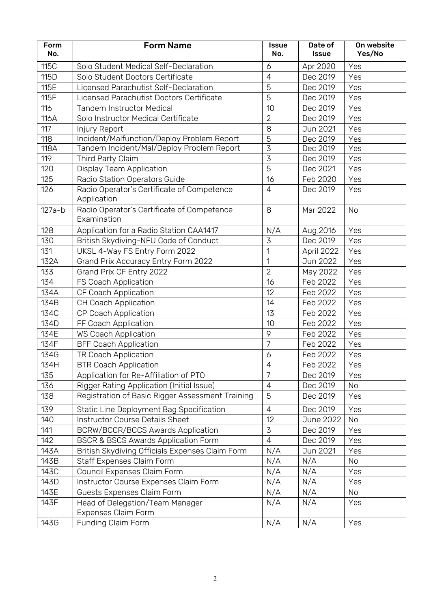| Form<br>No. | <b>Form Name</b>                                                                        | <b>Issue</b><br>No.              | Date of<br><b>Issue</b> | On website<br>Yes/No |
|-------------|-----------------------------------------------------------------------------------------|----------------------------------|-------------------------|----------------------|
|             |                                                                                         |                                  |                         |                      |
| 115C        | Solo Student Medical Self-Declaration                                                   | 6                                | Apr 2020                | Yes                  |
| 115D        | Solo Student Doctors Certificate                                                        | $\overline{4}$                   | Dec 2019                | Yes                  |
| 115E        | Licensed Parachutist Self-Declaration                                                   | 5                                | Dec 2019                | Yes                  |
| <b>115F</b> | Licensed Parachutist Doctors Certificate                                                | 5                                | Dec 2019                | Yes                  |
| 116         | <b>Tandem Instructor Medical</b>                                                        | 10                               | Dec 2019                | Yes                  |
| 116A        | Solo Instructor Medical Certificate                                                     | $\overline{2}$                   | Dec 2019                | Yes                  |
| 117         | Injury Report                                                                           | 8                                | Jun 2021                | Yes                  |
| 118<br>118A | Incident/Malfunction/Deploy Problem Report<br>Tandem Incident/Mal/Deploy Problem Report | $\overline{5}$<br>$\overline{3}$ | Dec 2019                | Yes                  |
| 119         | Third Party Claim                                                                       | $\overline{3}$                   | Dec 2019<br>Dec 2019    | Yes<br>Yes           |
| 120         | Display Team Application                                                                | $\overline{5}$                   | Dec 2021                | Yes                  |
| 125         |                                                                                         | 16                               | Feb 2020                | Yes                  |
| 126         | Radio Station Operators Guide<br>Radio Operator's Certificate of Competence             | $\overline{4}$                   |                         | Yes                  |
|             | Application                                                                             |                                  | Dec 2019                |                      |
| $127a-b$    | Radio Operator's Certificate of Competence<br>Examination                               | 8                                | Mar 2022                | <b>No</b>            |
| 128         | Application for a Radio Station CAA1417                                                 | N/A                              | Aug 2016                | Yes                  |
| 130         | British Skydiving-NFU Code of Conduct                                                   | 3                                | Dec 2019                | Yes                  |
| 131         | UKSL 4-Way FS Entry Form 2022                                                           | 1                                | April 2022              | Yes                  |
| 132A        | Grand Prix Accuracy Entry Form 2022                                                     | 1                                | Jun 2022                | Yes                  |
| 133         | Grand Prix CF Entry 2022                                                                | $\overline{2}$                   | May 2022                | Yes                  |
| 134         | FS Coach Application                                                                    | 16                               | Feb 2022                | Yes                  |
| 134A        | CF Coach Application                                                                    | 12                               | Feb 2022                | Yes                  |
| 134B        | CH Coach Application                                                                    | 14                               | Feb 2022                | Yes                  |
| 134C        | CP Coach Application                                                                    | 13                               | Feb 2022                | Yes                  |
| 134D        | FF Coach Application                                                                    | 10                               | Feb 2022                | Yes                  |
| 134E        | <b>WS Coach Application</b>                                                             | 9                                | Feb 2022                | Yes                  |
| 134F        | <b>BFF Coach Application</b>                                                            | $\overline{7}$                   | Feb 2022                | Yes                  |
| 134G        | TR Coach Application                                                                    | 6                                | Feb 2022                | Yes                  |
| 134H        | <b>BTR Coach Application</b>                                                            | 4                                | Feb 2022                | Yes                  |
| 135         | Application for Re-Affiliation of PTO                                                   | $\overline{7}$                   | Dec 2019                | Yes                  |
| 136         | Rigger Rating Application (Initial Issue)                                               | $\overline{4}$                   | Dec 2019                | No                   |
| 138         | Registration of Basic Rigger Assessment Training                                        | 5                                | Dec 2019                | Yes                  |
| 139         | Static Line Deployment Bag Specification                                                | $\overline{4}$                   | Dec 2019                | Yes                  |
| 140         | Instructor Course Details Sheet                                                         | 12                               | <b>June 2022</b>        | <b>No</b>            |
| 141         | <b>BCRW/BCCR/BCCS Awards Application</b>                                                | 3                                | Dec 2019                | Yes                  |
| 142         | <b>BSCR &amp; BSCS Awards Application Form</b>                                          | 4                                | Dec 2019                | Yes                  |
| 143A        | British Skydiving Officials Expenses Claim Form                                         | N/A                              | Jun 2021                | Yes                  |
| 143B        | Staff Expenses Claim Form                                                               | N/A                              | N/A                     | <b>No</b>            |
| 143C        | Council Expenses Claim Form                                                             | N/A                              | N/A                     | Yes                  |
| 143D        | Instructor Course Expenses Claim Form                                                   | N/A                              | N/A                     | Yes                  |
| 143E        | Guests Expenses Claim Form                                                              | N/A                              | N/A                     | No                   |
| 143F        | Head of Delegation/Team Manager<br>Expenses Claim Form                                  | N/A                              | N/A                     | Yes                  |
| 143G        | Funding Claim Form                                                                      | N/A                              | N/A                     | Yes                  |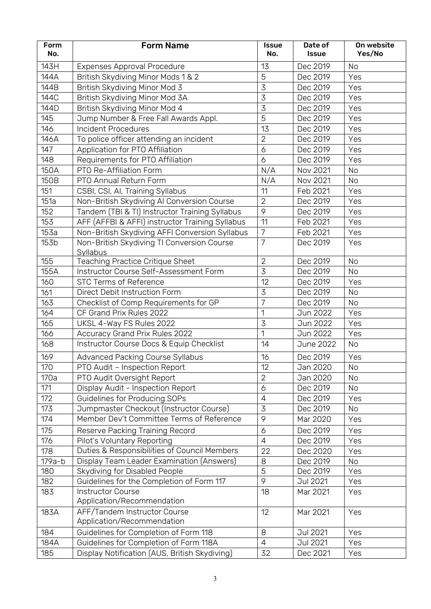| Form<br>No. | <b>Form Name</b>                                       | <b>Issue</b><br>No. | Date of<br><b>Issue</b> | On website<br>Yes/No |
|-------------|--------------------------------------------------------|---------------------|-------------------------|----------------------|
| 143H        | <b>Expenses Approval Procedure</b>                     | 13                  | Dec 2019                | No                   |
| 144A        | British Skydiving Minor Mods 1 & 2                     | 5                   | Dec 2019                | Yes                  |
| 144B        | British Skydiving Minor Mod 3                          | 3                   | Dec 2019                | Yes                  |
| 144C        | British Skydiving Minor Mod 3A                         | 3                   | Dec 2019                | Yes                  |
| 144D        | British Skydiving Minor Mod 4                          | $\overline{3}$      | Dec 2019                | Yes                  |
| 145         | Jump Number & Free Fall Awards Appl.                   | $\overline{5}$      | Dec 2019                | Yes                  |
| 146         | <b>Incident Procedures</b>                             | 13                  | Dec 2019                | Yes                  |
| 146A        | To police officer attending an incident                | $\overline{2}$      | Dec 2019                | Yes                  |
| 147         | Application for PTO Affiliation                        | 6                   | Dec 2019                | Yes                  |
| 148         | Requirements for PTO Affiliation                       | 6                   | Dec 2019                | Yes                  |
| 150A        | PTO Re-Affiliation Form                                | N/A                 | Nov 2021                | No                   |
| 150B        | PTO Annual Return Form                                 | N/A                 | Nov 2021                | No                   |
| 151         | CSBI, CSI, AI, Training Syllabus                       | 11                  | Feb 2021                | Yes                  |
| 151a        | Non-British Skydiving Al Conversion Course             | $\overline{2}$      | Dec 2019                | Yes                  |
| 152         | Tandem (TBI & TI) Instructor Training Syllabus         | 9                   | Dec 2019                | Yes                  |
| 153         | AFF (AFFBI & AFFI) instructor Training Syllabus        | 11                  | Feb 2021                | Yes                  |
| 153a        | Non-British Skydiving AFFI Conversion Syllabus         | $\overline{7}$      | Feb 2021                | Yes                  |
| 153b        | Non-British Skydiving TI Conversion Course             | $\overline{7}$      | Dec 2019                | Yes                  |
|             | Syllabus                                               |                     |                         |                      |
| 155         | Teaching Practice Critique Sheet                       | $\overline{2}$      | Dec 2019                | <b>No</b>            |
| 155A        | Instructor Course Self-Assessment Form                 | 3                   | Dec 2019                | No                   |
| 160         | <b>STC Terms of Reference</b>                          | 12                  | Dec 2019                | Yes                  |
| 161         | Direct Debit Instruction Form                          | $\overline{3}$      | Dec 2019                | No                   |
| 163         | Checklist of Comp Requirements for GP                  | $\overline{7}$      | Dec 2019                | <b>No</b>            |
| 164         | CF Grand Prix Rules 2022                               | 1                   | Jun 2022                | Yes                  |
| 165         | UKSL 4-Way FS Rules 2022                               | $\overline{3}$      | Jun 2022                | Yes                  |
| 166         | Accuracy Grand Prix Rules 2022                         | 1                   | Jun 2022                | Yes                  |
| 168         | Instructor Course Docs & Equip Checklist               | 14                  | June 2022               | No.                  |
| 169         | <b>Advanced Packing Course Syllabus</b>                | 16                  | Dec 2019                | Yes                  |
| 170         | PTO Audit - Inspection Report                          | 12                  | Jan 2020                | No                   |
| 170a        | PTO Audit Oversight Report                             | $\overline{2}$      | Jan 2020                | No                   |
| 171         | Display Audit - Inspection Report                      | 6                   | Dec 2019                | <b>No</b>            |
| 172         | Guidelines for Producing SOPs                          | $\overline{4}$      | Dec 2019                | Yes                  |
| 173         | Jumpmaster Checkout (Instructor Course)                | 3                   | Dec 2019                | No.                  |
| 174         | Member Dev't Committee Terms of Reference              | 9                   | Mar 2020                | Yes                  |
| 175         | Reserve Packing Training Record                        | 6                   | Dec 2019                | Yes                  |
| 176         | Pilot's Voluntary Reporting                            | $\overline{4}$      | Dec 2019                | Yes                  |
| 178         | Duties & Responsibilities of Council Members           | 22                  | Dec 2020                | Yes                  |
| $179a-b$    | Display Team Leader Examination (Answers)              | 8                   | Dec 2019                | No.                  |
| 180         | Skydiving for Disabled People                          | 5                   | Dec 2019                | Yes                  |
| 182         | Guidelines for the Completion of Form 117              | 9                   | Jul 2021                | Yes                  |
| 183         | <b>Instructor Course</b><br>Application/Recommendation | 18                  | Mar 2021                | Yes                  |
| 183A        | AFF/Tandem Instructor Course                           | 12                  | Mar 2021                | Yes                  |
|             | Application/Recommendation                             |                     |                         |                      |
| 184         | Guidelines for Completion of Form 118                  | 8                   | <b>Jul 2021</b>         | Yes                  |
| 184A        | Guidelines for Completion of Form 118A                 | $\overline{4}$      | Jul 2021                | Yes                  |
| 185         | Display Notification (AUS, British Skydiving)          | 32                  | Dec 2021                | Yes                  |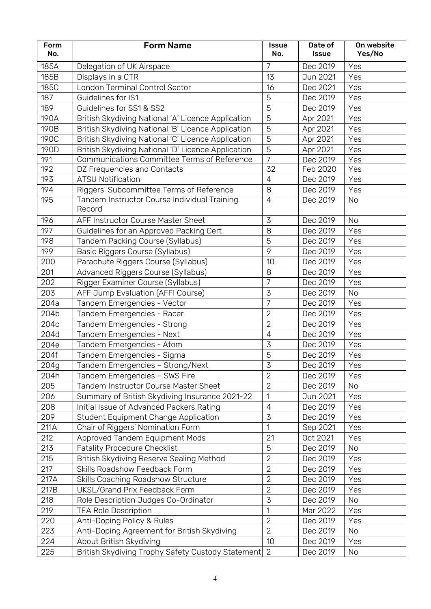| Form<br>No. | <b>Form Name</b>                                       | <b>Issue</b><br>No. | Date of<br><b>Issue</b> | On website<br>Yes/No |
|-------------|--------------------------------------------------------|---------------------|-------------------------|----------------------|
| 185A        |                                                        | 7                   | Dec 2019                | Yes                  |
| 185B        | Delegation of UK Airspace<br>Displays in a CTR         | 13                  | Jun 2021                | Yes                  |
| 185C        | London Terminal Control Sector                         | 16                  | Dec 2021                | Yes                  |
| 187         | Guidelines for IS1                                     | 5                   | Dec 2019                | Yes                  |
| 189         | Guidelines for SS1 & SS2                               | 5                   | Dec 2019                | Yes                  |
| 190A        | British Skydiving National 'A' Licence Application     | 5                   | Apr 2021                | Yes                  |
| 190B        | British Skydiving National 'B' Licence Application     | 5                   | Apr 2021                | Yes                  |
| <b>190C</b> | British Skydiving National 'C' Licence Application     | 5                   | Apr 2021                | Yes                  |
| 190D        | British Skydiving National 'D' Licence Application     | 5                   | Apr 2021                | Yes                  |
| 191         | Communications Committee Terms of Reference            | $\overline{7}$      | Dec 2019                | Yes                  |
| 192         | DZ Frequencies and Contacts                            | 32                  | Feb 2020                | Yes                  |
| 193         | <b>ATSU Notification</b>                               | $\overline{4}$      | Dec 2019                | Yes                  |
| 194         | Riggers' Subcommittee Terms of Reference               | 8                   | Dec 2019                | Yes                  |
| 195         | Tandem Instructor Course Individual Training<br>Record | $\overline{4}$      | Dec 2019                | No                   |
| 196         | AFF Instructor Course Master Sheet                     | $\overline{3}$      | Dec 2019                | No                   |
| 197         | Guidelines for an Approved Packing Cert                | 8                   | Dec 2019                | Yes                  |
| 198         | Tandem Packing Course (Syllabus)                       | 5                   | Dec 2019                | Yes                  |
| 199         | Basic Riggers Course (Syllabus)                        | 9                   | Dec 2019                | Yes                  |
| 200         | Parachute Riggers Course (Syllabus)                    | 10                  | Dec 2019                | Yes                  |
| 201         | Advanced Riggers Course (Syllabus)                     | 8                   | Dec 2019                | Yes                  |
| 202         | Rigger Examiner Course (Syllabus)                      | $\overline{7}$      | Dec 2019                | Yes                  |
| 203         | AFF Jump Evaluation (AFFI Course)                      | 3                   | Dec 2019                | No                   |
| 204a        | Tandem Emergencies - Vector                            | $\overline{7}$      | Dec 2019                | Yes                  |
| 204b        | Tandem Emergencies - Racer                             | $\overline{2}$      | Dec 2019                | Yes                  |
| 204c        | Tandem Emergencies - Strong                            | $\overline{2}$      | Dec 2019                | Yes                  |
| 204d        | Tandem Emergencies - Next                              | $\overline{4}$      | Dec 2019                | Yes                  |
| 204e        | Tandem Emergencies - Atom                              | 3                   | Dec 2019                | Yes                  |
| 204f        | Tandem Emergencies - Sigma                             | 5                   | Dec 2019                | Yes                  |
| 204g        | Tandem Emergencies - Strong/Next                       | 3                   | Dec 2019                | Yes                  |
| 204h        | Tandem Emergencies - SWS Fire                          | $\overline{2}$      | Dec 2019                | Yes                  |
| 205         | Tandem Instructor Course Master Sheet                  | $\overline{2}$      | Dec 2019                | No                   |
| 206         | Summary of British Skydiving Insurance 2021-22         | 1                   | Jun 2021                | Yes                  |
| 208         | Initial Issue of Advanced Packers Rating               | $\overline{4}$      | Dec 2019                | Yes                  |
| 209         | <b>Student Equipment Change Application</b>            | $\overline{3}$      | Dec 2019                | Yes                  |
| 211A        | Chair of Riggers' Nomination Form                      | 1                   | Sep 2021                | Yes                  |
| 212         | Approved Tandem Equipment Mods                         | 21                  | Oct 2021                | Yes                  |
| 213         | <b>Fatality Procedure Checklist</b>                    | 5                   | Dec 2019                | No                   |
| 215         | British Skydiving Reserve Sealing Method               | $\overline{2}$      | Dec 2019                | Yes                  |
| 217         | Skills Roadshow Feedback Form                          | $\overline{2}$      | Dec 2019                | Yes                  |
| 217A        | Skills Coaching Roadshow Structure                     | $\overline{2}$      | Dec 2019                | Yes                  |
| 217B        | UKSL/Grand Prix Feedback Form                          | $\overline{2}$      | Dec 2019                | Yes                  |
| 218         | Role Description Judges Co-Ordinator                   | 3                   | Dec 2019                | No                   |
| 219         | <b>TEA Role Description</b>                            | 1                   | Mar 2022                | Yes                  |
| 220         | Anti-Doping Policy & Rules                             | $\overline{2}$      | Dec 2019                | Yes                  |
| 223         | Anti-Doping Agreement for British Skydiving            | $\overline{2}$      | Dec 2019                | No                   |
| 224         | About British Skydiving                                | 10                  | Dec 2019                | Yes                  |
| 225         | British Skydiving Trophy Safety Custody Statement      | 2                   | Dec 2019                | No                   |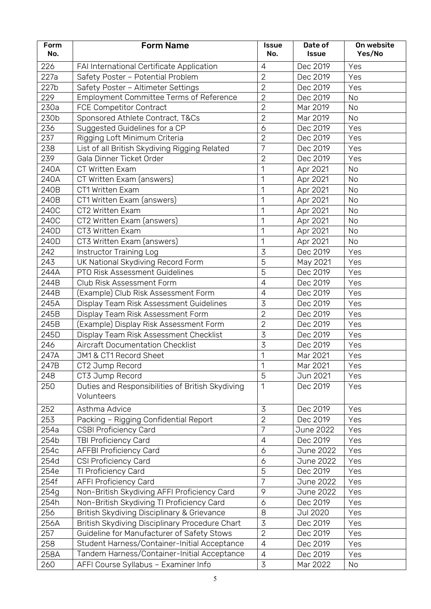| Form<br>No. | <b>Form Name</b>                                 | <b>Issue</b><br>No. | Date of<br><b>Issue</b> | On website<br>Yes/No |
|-------------|--------------------------------------------------|---------------------|-------------------------|----------------------|
| 226         | FAI International Certificate Application        | $\overline{4}$      | Dec 2019                | Yes                  |
| 227a        | Safety Poster - Potential Problem                | $\overline{2}$      | Dec 2019                | Yes                  |
| 227b        | Safety Poster - Altimeter Settings               | $\overline{2}$      | Dec 2019                | Yes                  |
| 229         | Employment Committee Terms of Reference          | $\overline{2}$      | Dec 2019                | <b>No</b>            |
| 230a        | FCE Competitor Contract                          | $\overline{2}$      | Mar 2019                | No                   |
| 230b        | Sponsored Athlete Contract, T&Cs                 | $\overline{2}$      | Mar 2019                | <b>No</b>            |
| 236         | Suggested Guidelines for a CP                    | 6                   | Dec 2019                | Yes                  |
| 237         | Rigging Loft Minimum Criteria                    | $\overline{2}$      | Dec 2019                | Yes                  |
| 238         | List of all British Skydiving Rigging Related    | 7                   | Dec 2019                | Yes                  |
| 239         | Gala Dinner Ticket Order                         | $\overline{2}$      | Dec 2019                | Yes                  |
| 240A        | <b>CT Written Exam</b>                           | 1                   | Apr 2021                | No                   |
| 240A        | CT Written Exam (answers)                        | 1                   | Apr 2021                | <b>No</b>            |
| 240B        | CT1 Written Exam                                 | 1                   | Apr 2021                | No                   |
| 240B        | CT1 Written Exam (answers)                       | 1                   | Apr 2021                | <b>No</b>            |
| 240C        | CT2 Written Exam                                 | 1                   | Apr 2021                | <b>No</b>            |
| 240C        | CT2 Written Exam (answers)                       | 1                   | Apr 2021                | No                   |
| 240D        | CT3 Written Exam                                 | 1                   | Apr 2021                | No                   |
| 240D        | CT3 Written Exam (answers)                       | 1                   | Apr 2021                | No                   |
| 242         | Instructor Training Log                          | $\overline{3}$      | Dec 2019                | Yes                  |
| 243         | UK National Skydiving Record Form                | 5                   | May 2021                | Yes                  |
| 244A        | PTO Risk Assessment Guidelines                   | $\overline{5}$      | Dec 2019                | Yes                  |
| 244B        | Club Risk Assessment Form                        | $\sqrt{4}$          | Dec 2019                | Yes                  |
| 244B        | (Example) Club Risk Assessment Form              | $\overline{4}$      | Dec 2019                | Yes                  |
| 245A        | Display Team Risk Assessment Guidelines          | 3                   | Dec 2019                | Yes                  |
| 245B        | Display Team Risk Assessment Form                | $\overline{2}$      | Dec 2019                | Yes                  |
| 245B        | (Example) Display Risk Assessment Form           | $\overline{2}$      | Dec 2019                | Yes                  |
| 245D        | Display Team Risk Assessment Checklist           | 3                   | Dec 2019                | Yes                  |
| 246         | <b>Aircraft Documentation Checklist</b>          | 3                   | Dec 2019                | Yes                  |
| 247A        | JM1 & CT1 Record Sheet                           | 1                   | Mar 2021                | Yes                  |
| 247B        | CT2 Jump Record                                  | 1                   | Mar 2021                | Yes                  |
| 248         | CT3 Jump Record                                  | 5                   | Jun 2021                | Yes                  |
| 250         | Duties and Responsibilities of British Skydiving | 1                   | Dec 2019                | Yes                  |
|             | Volunteers                                       |                     |                         |                      |
| 252         | Asthma Advice                                    | $\mathcal{Z}$       | Dec 2019                | Yes                  |
| 253         | Packing - Rigging Confidential Report            | $\overline{2}$      | Dec 2019                | Yes                  |
| 254a        | <b>CSBI Proficiency Card</b>                     | 7                   | June 2022               | Yes                  |
| 254b        | <b>TBI Proficiency Card</b>                      | $\overline{4}$      | Dec 2019                | Yes                  |
| 254c        | <b>AFFBI Proficiency Card</b>                    | 6                   | June 2022               | Yes                  |
| 254d        | <b>CSI Proficiency Card</b>                      | 6                   | June 2022               | Yes                  |
| 254e        | TI Proficiency Card                              | 5                   | Dec 2019                | Yes                  |
| 254f        | <b>AFFI Proficiency Card</b>                     | $\overline{7}$      | June 2022               | Yes                  |
| 254g        | Non-British Skydiving AFFI Proficiency Card      | 9                   | June 2022               | Yes                  |
| 254h        | Non-British Skydiving TI Proficiency Card        | 6                   | Dec 2019                | Yes                  |
| 256         | British Skydiving Disciplinary & Grievance       | 8                   | <b>Jul 2020</b>         | Yes                  |
| 256A        | British Skydiving Disciplinary Procedure Chart   | 3                   | Dec 2019                | Yes                  |
| 257         | Guideline for Manufacturer of Safety Stows       | $\overline{2}$      | Dec 2019                | Yes                  |
| 258         | Student Harness/Container-Initial Acceptance     | $\overline{4}$      | Dec 2019                | Yes                  |
| 258A        | Tandem Harness/Container-Initial Acceptance      | $\overline{4}$      | Dec 2019                | Yes                  |
| 260         | AFFI Course Syllabus - Examiner Info             | $\overline{3}$      | Mar 2022                | No                   |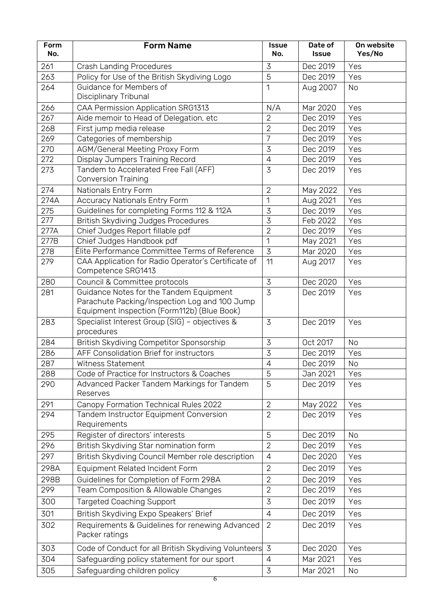| Form<br>No. | <b>Form Name</b>                                                                                                                        | <b>Issue</b><br>No. | Date of<br><b>Issue</b> | On website<br>Yes/No |
|-------------|-----------------------------------------------------------------------------------------------------------------------------------------|---------------------|-------------------------|----------------------|
| 261         | <b>Crash Landing Procedures</b>                                                                                                         | 3                   | Dec 2019                | Yes                  |
| 263         | Policy for Use of the British Skydiving Logo                                                                                            | 5                   | Dec 2019                | Yes                  |
| 264         | Guidance for Members of<br>Disciplinary Tribunal                                                                                        | 1                   | Aug 2007                | No                   |
| 266         | CAA Permission Application SRG1313                                                                                                      | N/A                 | Mar 2020                | Yes                  |
| 267         | Aide memoir to Head of Delegation, etc                                                                                                  | $\overline{2}$      | Dec 2019                | Yes                  |
| 268         | First jump media release                                                                                                                | $\overline{2}$      | Dec 2019                | Yes                  |
| 269         | Categories of membership                                                                                                                | $\overline{7}$      | Dec 2019                | Yes                  |
| 270         | <b>AGM/General Meeting Proxy Form</b>                                                                                                   | 3                   | Dec 2019                | Yes                  |
| 272         | Display Jumpers Training Record                                                                                                         | $\overline{4}$      | Dec 2019                | Yes                  |
| 273         | Tandem to Accelerated Free Fall (AFF)<br><b>Conversion Training</b>                                                                     | $\overline{3}$      | Dec 2019                | Yes                  |
| 274         | Nationals Entry Form                                                                                                                    | $\overline{2}$      | May 2022                | Yes                  |
| 274A        | <b>Accuracy Nationals Entry Form</b>                                                                                                    | 1                   | Aug 2021                | Yes                  |
| 275         | Guidelines for completing Forms 112 & 112A                                                                                              | $\overline{3}$      | Dec 2019                | Yes                  |
| 277         | <b>British Skydiving Judges Procedures</b>                                                                                              | $\overline{3}$      | Feb 2022                | Yes                  |
| 277A        | Chief Judges Report fillable pdf                                                                                                        | $\overline{2}$      | Dec 2019                | Yes                  |
| 277B        | Chief Judges Handbook pdf                                                                                                               | 1                   | May 2021                | Yes                  |
| 278         | Élite Performance Committee Terms of Reference                                                                                          | $\overline{3}$      | Mar 2020                | Yes                  |
| 279         | CAA Application for Radio Operator's Certificate of<br>Competence SRG1413                                                               | 11                  | Aug 2017                | Yes                  |
| 280         | Council & Committee protocols                                                                                                           | 3                   | Dec 2020                | Yes                  |
| 281         | Guidance Notes for the Tandem Equipment<br>Parachute Packing/Inspection Log and 100 Jump<br>Equipment Inspection (Form112b) (Blue Book) | $\overline{3}$      | Dec 2019                | Yes                  |
| 283         | Specialist Interest Group (SIG) - objectives &<br>procedures                                                                            | 3                   | Dec 2019                | Yes                  |
| 284         | British Skydiving Competitor Sponsorship                                                                                                | $\overline{3}$      | Oct 2017                | <b>No</b>            |
| 286         | AFF Consolidation Brief for instructors                                                                                                 | $\overline{3}$      | Dec 2019                | Yes                  |
| 287         | Witness Statement                                                                                                                       | $\overline{4}$      | Dec 2019                | No                   |
| 288         | Code of Practice for Instructors & Coaches                                                                                              | 5                   | Jan 2021                | Yes                  |
| 290         | Advanced Packer Tandem Markings for Tandem<br>Reserves                                                                                  | 5                   | Dec 2019                | Yes                  |
| 291         | Canopy Formation Technical Rules 2022                                                                                                   | $\overline{2}$      | May 2022                | Yes                  |
| 294         | Tandem Instructor Equipment Conversion<br>Requirements                                                                                  | $\overline{2}$      | Dec 2019                | Yes                  |
| 295         | Register of directors' interests                                                                                                        | 5                   | Dec 2019                | No                   |
| 296         | British Skydiving Star nomination form                                                                                                  | $\overline{2}$      | Dec 2019                | Yes                  |
| 297         | British Skydiving Council Member role description                                                                                       | 4                   | Dec 2020                | Yes                  |
| 298A        | Equipment Related Incident Form                                                                                                         | $\overline{2}$      | Dec 2019                | Yes                  |
| 298B        | Guidelines for Completion of Form 298A                                                                                                  | $\overline{2}$      | Dec 2019                | Yes                  |
| 299         | Team Composition & Allowable Changes                                                                                                    | $\overline{2}$      | Dec 2019                | Yes                  |
| 300         | <b>Targeted Coaching Support</b>                                                                                                        | 3                   | Dec 2019                | Yes                  |
| 301         | British Skydiving Expo Speakers' Brief                                                                                                  | 4                   | Dec 2019                | Yes                  |
| 302         | Requirements & Guidelines for renewing Advanced<br>Packer ratings                                                                       | $\overline{2}$      | Dec 2019                | Yes                  |
| 303         | Code of Conduct for all British Skydiving Volunteers 3                                                                                  |                     | Dec 2020                | Yes                  |
|             |                                                                                                                                         |                     |                         |                      |
| 304         | Safeguarding policy statement for our sport                                                                                             | $\overline{4}$      | Mar 2021                | Yes                  |
| 305         | Safeguarding children policy                                                                                                            | 3                   | Mar 2021                | No                   |